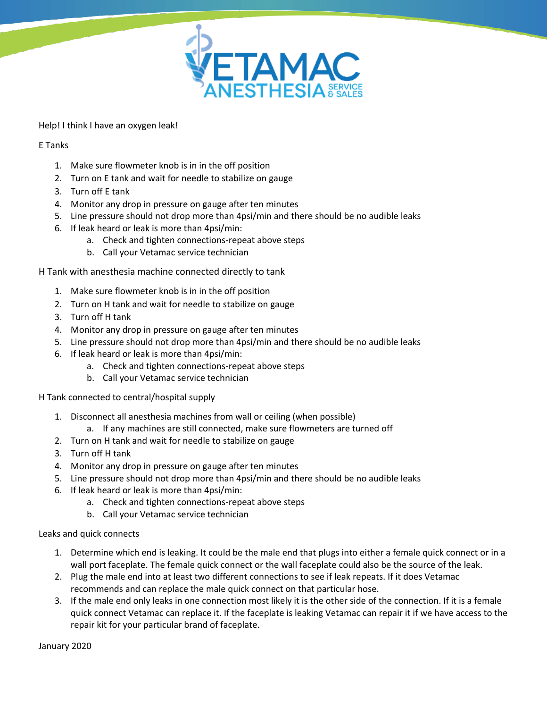

Help! I think I have an oxygen leak!

## E Tanks

- 1. Make sure flowmeter knob is in in the off position
- 2. Turn on E tank and wait for needle to stabilize on gauge
- 3. Turn off E tank
- 4. Monitor any drop in pressure on gauge after ten minutes
- 5. Line pressure should not drop more than 4psi/min and there should be no audible leaks
- 6. If leak heard or leak is more than 4psi/min:
	- a. Check and tighten connections-repeat above steps
	- b. Call your Vetamac service technician

H Tank with anesthesia machine connected directly to tank

- 1. Make sure flowmeter knob is in in the off position
- 2. Turn on H tank and wait for needle to stabilize on gauge
- 3. Turn off H tank
- 4. Monitor any drop in pressure on gauge after ten minutes
- 5. Line pressure should not drop more than 4psi/min and there should be no audible leaks
- 6. If leak heard or leak is more than 4psi/min:
	- a. Check and tighten connections-repeat above steps
	- b. Call your Vetamac service technician

## H Tank connected to central/hospital supply

- 1. Disconnect all anesthesia machines from wall or ceiling (when possible)
	- a. If any machines are still connected, make sure flowmeters are turned off
- 2. Turn on H tank and wait for needle to stabilize on gauge
- 3. Turn off H tank
- 4. Monitor any drop in pressure on gauge after ten minutes
- 5. Line pressure should not drop more than 4psi/min and there should be no audible leaks
- 6. If leak heard or leak is more than 4psi/min:
	- a. Check and tighten connections-repeat above steps
	- b. Call your Vetamac service technician

Leaks and quick connects

- 1. Determine which end is leaking. It could be the male end that plugs into either a female quick connect or in a wall port faceplate. The female quick connect or the wall faceplate could also be the source of the leak.
- 2. Plug the male end into at least two different connections to see if leak repeats. If it does Vetamac recommends and can replace the male quick connect on that particular hose.
- 3. If the male end only leaks in one connection most likely it is the other side of the connection. If it is a female quick connect Vetamac can replace it. If the faceplate is leaking Vetamac can repair it if we have access to the repair kit for your particular brand of faceplate.

January 2020